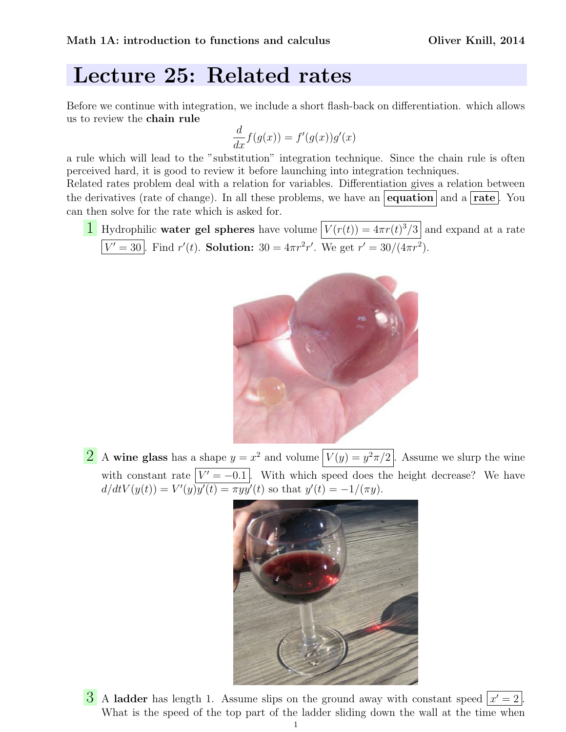## Lecture 25: Related rates

Before we continue with integration, we include a short flash-back on differentiation. which allows us to review the chain rule

$$
\frac{d}{dx}f(g(x)) = f'(g(x))g'(x)
$$

a rule which will lead to the "substitution" integration technique. Since the chain rule is often perceived hard, it is good to review it before launching into integration techniques.

Related rates problem deal with a relation for variables. Differentiation gives a relation between the derivatives (rate of change). In all these problems, we have an equation and a rate. You can then solve for the rate which is asked for.

**1** Hydrophilic **water gel spheres** have volume  $V(r(t)) = 4\pi r(t)^{3}/3$  and expand at a rate  $V' = 30$ . Find  $r'(t)$ . Solution:  $30 = 4\pi r^2 r'$ . We get  $r' = 30/(4\pi r^2)$ .



2 A wine glass has a shape  $y = x^2$  and volume  $\boxed{V(y) = y^2 \pi/2}$ . Assume we slurp the wine with constant rate  $|V' = -0.1|$ . With which speed does the height decrease? We have  $d/dtV(y(t)) = V'(y)y'(t) = \pi y y'(t)$  so that  $y'(t) = -1/(\pi y)$ .



3 A ladder has length 1. Assume slips on the ground away with constant speed  $\boxed{x'=2}$ . What is the speed of the top part of the ladder sliding down the wall at the time when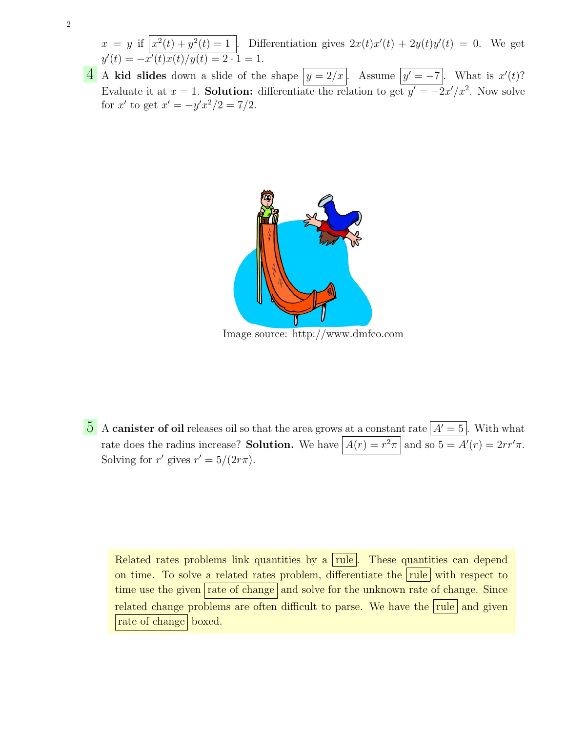- $x = y$  if  $x^2(t) + y^2(t) = 1$ . Differentiation gives  $2x(t)x'(t) + 2y(t)y'(t) = 0$ . We get  $y'(t) = -x'(t)x(t)/y(t) = 2 \cdot 1 = 1.$
- **4** A kid slides down a slide of the shape  $y = 2/x$ . Assume  $y' = -7$ . What is  $x'(t)$ ? Evaluate it at  $x = 1$ . Solution: differentiate the relation to get  $y' = -2x'/x^2$ . Now solve for x' to get  $x' = -y'x^2/2 = 7/2$ .



Image source: http://www.dmfco.com

5 A canister of oil releases oil so that the area grows at a constant rate  $\boxed{A'=5}$ . With what rate does the radius increase? Solution. We have  $A(r) = r^2 \pi \mid$  and so  $5 = A'(r) = 2rr'\pi$ . Solving for r' gives  $r' = 5/(2r\pi)$ .

Related rates problems link quantities by a rule. These quantities can depend on time. To solve a related rates problem, differentiate the rule with respect to time use the given rate of change and solve for the unknown rate of change. Since related change problems are often difficult to parse. We have the rule and given rate of change boxed.